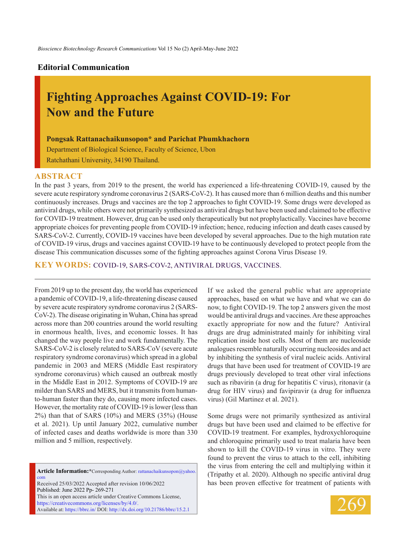## **Editorial Communication**

# **Fighting Approaches Against COVID-19: For Now and the Future**

### **Pongsak Rattanachaikunsopon\* and Parichat Phumkhachorn**

Department of Biological Science, Faculty of Science, Ubon Ratchathani University, 34190 Thailand.

#### **ABSTRACT**

In the past 3 years, from 2019 to the present, the world has experienced a life-threatening COVID-19, caused by the severe acute respiratory syndrome coronavirus 2 (SARS-CoV-2). It has caused more than 6 million deaths and this number continuously increases. Drugs and vaccines are the top 2 approaches to fight COVID-19. Some drugs were developed as antiviral drugs, while others were not primarily synthesized as antiviral drugs but have been used and claimed to be effective for COVID-19 treatment. However, drug can be used only therapeutically but not prophylactically. Vaccines have become appropriate choices for preventing people from COVID-19 infection; hence, reducing infection and death cases caused by SARS-CoV-2. Currently, COVID-19 vaccines have been developed by several approaches. Due to the high mutation rate of COVID-19 virus, drugs and vaccines against COVID-19 have to be continuously developed to protect people from the disease This communication discusses some of the fighting approaches against Corona Virus Disease 19.

**KEY WORDS:** COVID-19, SARS-CoV-2, antiviral drugs, vaccines.

From 2019 up to the present day, the world has experienced a pandemic of COVID-19, a life-threatening disease caused by severe acute respiratory syndrome coronavirus 2 (SARS-CoV-2). The disease originating in Wuhan, China has spread across more than 200 countries around the world resulting in enormous health, lives, and economic losses. It has changed the way people live and work fundamentally. The SARS-CoV-2 is closely related to SARS-CoV (severe acute respiratory syndrome coronavirus) which spread in a global pandemic in 2003 and MERS (Middle East respiratory syndrome coronavirus) which caused an outbreak mostly in the Middle East in 2012. Symptoms of COVID-19 are milder than SARS and MERS, but it transmits from humanto-human faster than they do, causing more infected cases. However, the mortality rate of COVID-19 is lower (less than 2%) than that of SARS (10%) and MERS (35%) (House et al. 2021). Up until January 2022, cumulative number of infected cases and deaths worldwide is more than 330 million and 5 million, respectively.

**Article Information:\***Corresponding Author: rattanachaikunsopon@yahoo. com Received 25/03/2022 Accepted after revision 10/06/2022 Published: June 2022 Pp- 269-271 This is an open access article under Creative Commons License, https://creativecommons.org/licenses/by/4.0/. Available at: https://bbrc.in/ DOI: http://dx.doi.org/10.21786/bbrc/15.2.1

If we asked the general public what are appropriate approaches, based on what we have and what we can do now, to fight COVID-19. The top 2 answers given the most would be antiviral drugs and vaccines. Are these approaches exactly appropriate for now and the future? Antiviral drugs are drug administrated mainly for inhibiting viral replication inside host cells. Most of them are nucleoside analogues resemble naturally occurring nucleosides and act by inhibiting the synthesis of viral nucleic acids. Antiviral drugs that have been used for treatment of COVID-19 are drugs previously developed to treat other viral infections such as ribavirin (a drug for hepatitis C virus), ritonavir (a drug for HIV virus) and favipiravir (a drug for influenza virus) (Gil Martinez et al. 2021).

Some drugs were not primarily synthesized as antiviral drugs but have been used and claimed to be effective for COVID-19 treatment. For examples, hydroxychloroquine and chloroquine primarily used to treat malaria have been shown to kill the COVID-19 virus in vitro. They were found to prevent the virus to attach to the cell, inhibiting the virus from entering the cell and multiplying within it (Tripathy et al. 2020). Although no specific antiviral drug has been proven effective for treatment of patients with

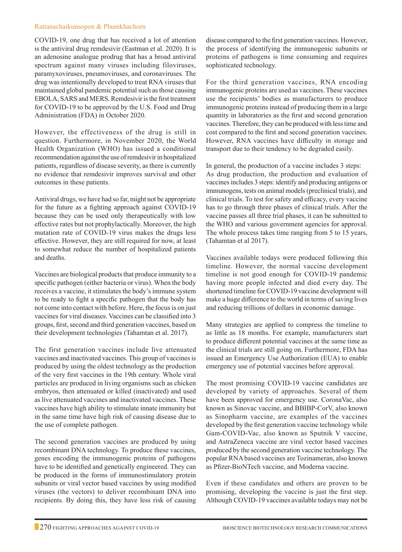#### Rattanachaikunsopon & Phumkhachorn

COVID-19, one drug that has received a lot of attention is the antiviral drug remdesivir (Eastman et al. 2020). It is an adenosine analogue prodrug that has a broad antiviral spectrum against many viruses including filoviruses, paramyxoviruses, pneumoviruses, and coronaviruses. The drug was intentionally developed to treat RNA viruses that maintained global pandemic potential such as those causing EBOLA, SARS and MERS. Remdesivir is the first treatment for COVID-19 to be approved by the U.S. Food and Drug Administration (FDA) in October 2020.

However, the effectiveness of the drug is still in question. Furthermore, in November 2020, the World Health Organization (WHO) has issued a conditional recommendation against the use of remdesivir in hospitalized patients, regardless of disease severity, as there is currently no evidence that remdesivir improves survival and other outcomes in these patients.

Antiviral drugs, we have had so far, might not be appropriate for the future as a fighting approach against COVID-19 because they can be used only therapeutically with low effective rates but not prophylactically. Moreover, the high mutation rate of COVID-19 virus makes the drugs less effective. However, they are still required for now, at least to somewhat reduce the number of hospitalized patients and deaths.

Vaccines are biological products that produce immunity to a specific pathogen (either bacteria or virus). When the body receives a vaccine, it stimulates the body's immune system to be ready to fight a specific pathogen that the body has not come into contact with before. Here, the focus is on just vaccines for viral diseases. Vaccines can be classified into 3 groups, first, second and third generation vaccines, based on their development technologies (Tahamtan et al. 2017).

The first generation vaccines include live attenuated vaccines and inactivated vaccines. This group of vaccines is produced by using the oldest technology as the production of the very first vaccines in the 19th century. Whole viral particles are produced in living organisms such as chicken embryos, then attenuated or killed (inactivated) and used as live attenuated vaccines and inactivated vaccines. These vaccines have high ability to stimulate innate immunity but in the same time have high risk of causing disease due to the use of complete pathogen.

The second generation vaccines are produced by using recombinant DNA technology. To produce these vaccines, genes encoding the immunogenic proteins of pathogens have to be identified and genetically engineered. They can be produced in the forms of immunostimulatory protein subunits or viral vector based vaccines by using modified viruses (the vectors) to deliver recombinant DNA into recipients. By doing this, they have less risk of causing disease compared to the first generation vaccines. However, the process of identifying the immunogenic subunits or proteins of pathogens is time consuming and requires sophisticated technology.

For the third generation vaccines, RNA encoding immunogenic proteins are used as vaccines. These vaccines use the recipients' bodies as manufacturers to produce immunogenic proteins instead of producing them in a large quantity in laboratories as the first and second generation vaccines. Therefore, they can be produced with less time and cost compared to the first and second generation vaccines. However, RNA vaccines have difficulty in storage and transport due to their tendency to be degraded easily.

In general, the production of a vaccine includes 3 steps: As drug production, the production and evaluation of vaccines includes 3 steps: identify and producing antigens or immunogens, tests on animal models (preclinical trials), and clinical trials. To test for safety and efficacy, every vaccine has to go through three phases of clinical trials. After the vaccine passes all three trial phases, it can be submitted to the WHO and various government agencies for approval. The whole process takes time ranging from 5 to 15 years, (Tahamtan et al 2017).

Vaccines available todays were produced following this timeline. However, the normal vaccine development timeline is not good enough for COVID-19 pandemic having more people infected and died every day. The shortened timeline for COVID-19 vaccine development will make a huge difference to the world in terms of saving lives and reducing trillions of dollars in economic damage.

Many strategies are applied to compress the timeline to as little as 18 months. For example, manufacturers start to produce different potential vaccines at the same time as the clinical trials are still going on. Furthermore, FDA has issued an Emergency Use Authorization (EUA) to enable emergency use of potential vaccines before approval.

The most promising COVID-19 vaccine candidates are developed by variety of approaches. Several of them have been approved for emergency use. CoronaVac, also known as Sinovac vaccine, and BBIBP-CorV, also known as Sinopharm vaccine, are examples of the vaccines developed by the first generation vaccine technology while Gam-COVID-Vac, also known as Sputnik V vaccine, and AstraZeneca vaccine are viral vector based vaccines produced by the second generation vaccine technology. The popular RNA based vaccines are Tozinameran, also known as Pfizer-BioNTech vaccine, and Moderna vaccine.

Even if these candidates and others are proven to be promising, developing the vaccine is just the first step. Although COVID-19 vaccines available todays may not be